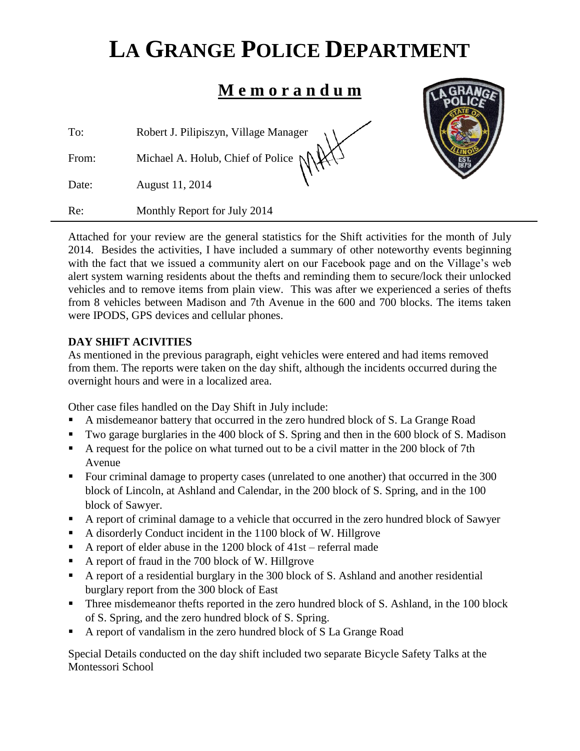# **LA GRANGE POLICE DEPARTMENT**

# **M e m o r a n d u m**

To: Robert J. Pilipiszyn, Village Manager

From: Michael A. Holub, Chief of Police

Date: August 11, 2014

Re: Monthly Report for July 2014



Attached for your review are the general statistics for the Shift activities for the month of July 2014. Besides the activities, I have included a summary of other noteworthy events beginning with the fact that we issued a community alert on our Facebook page and on the Village's web alert system warning residents about the thefts and reminding them to secure/lock their unlocked vehicles and to remove items from plain view. This was after we experienced a series of thefts from 8 vehicles between Madison and 7th Avenue in the 600 and 700 blocks. The items taken were IPODS, GPS devices and cellular phones.

# **DAY SHIFT ACIVITIES**

As mentioned in the previous paragraph, eight vehicles were entered and had items removed from them. The reports were taken on the day shift, although the incidents occurred during the overnight hours and were in a localized area.

Other case files handled on the Day Shift in July include:

- A misdemeanor battery that occurred in the zero hundred block of S. La Grange Road
- Two garage burglaries in the 400 block of S. Spring and then in the 600 block of S. Madison
- A request for the police on what turned out to be a civil matter in the 200 block of 7th Avenue
- Four criminal damage to property cases (unrelated to one another) that occurred in the 300 block of Lincoln, at Ashland and Calendar, in the 200 block of S. Spring, and in the 100 block of Sawyer.
- A report of criminal damage to a vehicle that occurred in the zero hundred block of Sawyer
- A disorderly Conduct incident in the 1100 block of W. Hillgrove
- A report of elder abuse in the 1200 block of  $41st$  referral made
- A report of fraud in the 700 block of W. Hillgrove
- A report of a residential burglary in the 300 block of S. Ashland and another residential burglary report from the 300 block of East
- Three misdemeanor thefts reported in the zero hundred block of S. Ashland, in the 100 block of S. Spring, and the zero hundred block of S. Spring.
- A report of vandalism in the zero hundred block of S La Grange Road

Special Details conducted on the day shift included two separate Bicycle Safety Talks at the Montessori School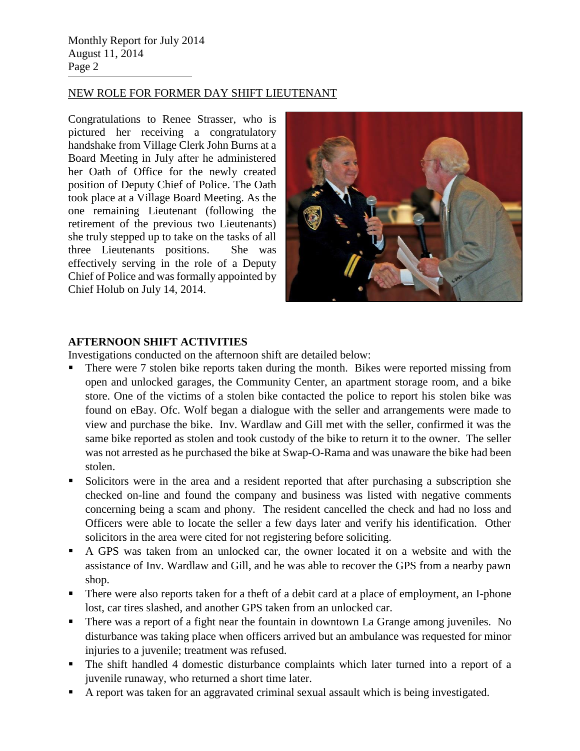Monthly Report for July 2014 August 11, 2014 Page 2

#### NEW ROLE FOR FORMER DAY SHIFT LIEUTENANT

Congratulations to Renee Strasser, who is pictured her receiving a congratulatory handshake from Village Clerk John Burns at a Board Meeting in July after he administered her Oath of Office for the newly created position of Deputy Chief of Police. The Oath took place at a Village Board Meeting. As the one remaining Lieutenant (following the retirement of the previous two Lieutenants) she truly stepped up to take on the tasks of all three Lieutenants positions. She was effectively serving in the role of a Deputy Chief of Police and was formally appointed by Chief Holub on July 14, 2014.



#### **AFTERNOON SHIFT ACTIVITIES**

Investigations conducted on the afternoon shift are detailed below:

- There were 7 stolen bike reports taken during the month. Bikes were reported missing from open and unlocked garages, the Community Center, an apartment storage room, and a bike store. One of the victims of a stolen bike contacted the police to report his stolen bike was found on eBay. Ofc. Wolf began a dialogue with the seller and arrangements were made to view and purchase the bike. Inv. Wardlaw and Gill met with the seller, confirmed it was the same bike reported as stolen and took custody of the bike to return it to the owner. The seller was not arrested as he purchased the bike at Swap-O-Rama and was unaware the bike had been stolen.
- Solicitors were in the area and a resident reported that after purchasing a subscription she checked on-line and found the company and business was listed with negative comments concerning being a scam and phony. The resident cancelled the check and had no loss and Officers were able to locate the seller a few days later and verify his identification. Other solicitors in the area were cited for not registering before soliciting.
- A GPS was taken from an unlocked car, the owner located it on a website and with the assistance of Inv. Wardlaw and Gill, and he was able to recover the GPS from a nearby pawn shop.
- There were also reports taken for a theft of a debit card at a place of employment, an I-phone lost, car tires slashed, and another GPS taken from an unlocked car.
- There was a report of a fight near the fountain in downtown La Grange among juveniles. No disturbance was taking place when officers arrived but an ambulance was requested for minor injuries to a juvenile; treatment was refused.
- The shift handled 4 domestic disturbance complaints which later turned into a report of a juvenile runaway, who returned a short time later.
- A report was taken for an aggravated criminal sexual assault which is being investigated.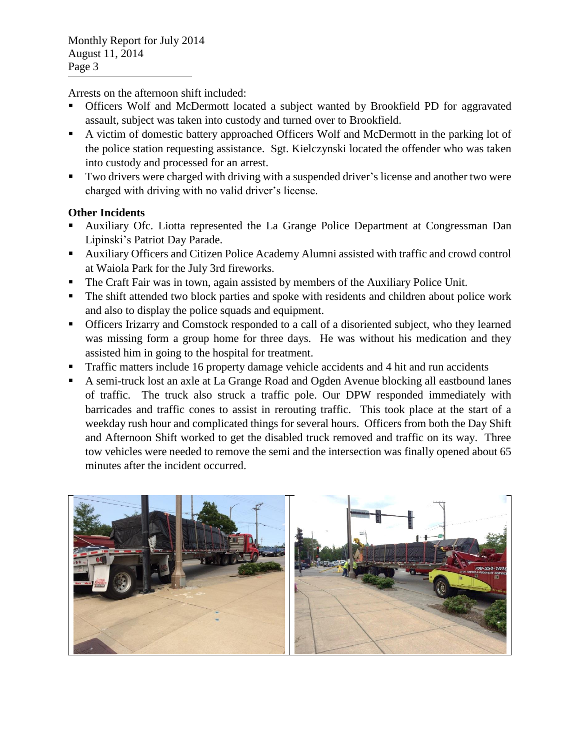Arrests on the afternoon shift included:

- Officers Wolf and McDermott located a subject wanted by Brookfield PD for aggravated assault, subject was taken into custody and turned over to Brookfield.
- A victim of domestic battery approached Officers Wolf and McDermott in the parking lot of the police station requesting assistance. Sgt. Kielczynski located the offender who was taken into custody and processed for an arrest.
- Two drivers were charged with driving with a suspended driver's license and another two were charged with driving with no valid driver's license.

### **Other Incidents**

- Auxiliary Ofc. Liotta represented the La Grange Police Department at Congressman Dan Lipinski's Patriot Day Parade.
- Auxiliary Officers and Citizen Police Academy Alumni assisted with traffic and crowd control at Waiola Park for the July 3rd fireworks.
- The Craft Fair was in town, again assisted by members of the Auxiliary Police Unit.
- The shift attended two block parties and spoke with residents and children about police work and also to display the police squads and equipment.
- Officers Irizarry and Comstock responded to a call of a disoriented subject, who they learned was missing form a group home for three days. He was without his medication and they assisted him in going to the hospital for treatment.
- Traffic matters include 16 property damage vehicle accidents and 4 hit and run accidents
- A semi-truck lost an axle at La Grange Road and Ogden Avenue blocking all eastbound lanes of traffic. The truck also struck a traffic pole. Our DPW responded immediately with barricades and traffic cones to assist in rerouting traffic. This took place at the start of a weekday rush hour and complicated things for several hours. Officers from both the Day Shift and Afternoon Shift worked to get the disabled truck removed and traffic on its way. Three tow vehicles were needed to remove the semi and the intersection was finally opened about 65 minutes after the incident occurred.

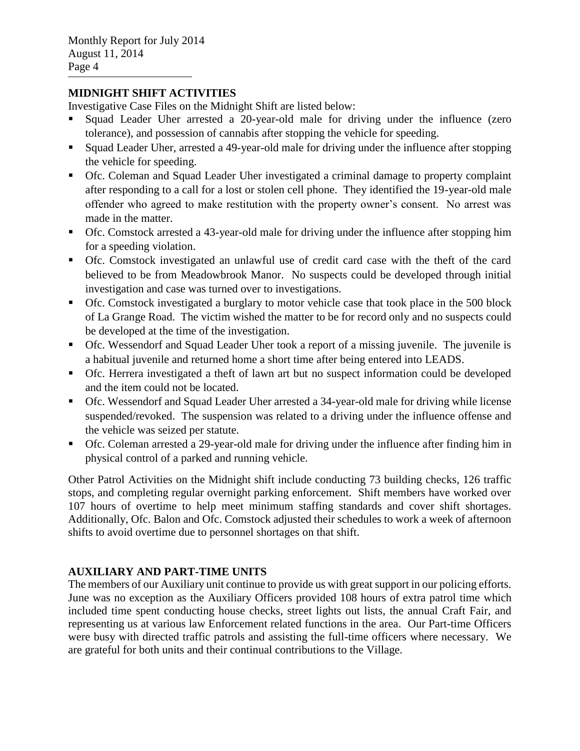#### **MIDNIGHT SHIFT ACTIVITIES**

Investigative Case Files on the Midnight Shift are listed below:

- Squad Leader Uher arrested a 20-year-old male for driving under the influence (zero tolerance), and possession of cannabis after stopping the vehicle for speeding.
- Squad Leader Uher, arrested a 49-year-old male for driving under the influence after stopping the vehicle for speeding.
- Ofc. Coleman and Squad Leader Uher investigated a criminal damage to property complaint after responding to a call for a lost or stolen cell phone. They identified the 19-year-old male offender who agreed to make restitution with the property owner's consent. No arrest was made in the matter.
- Ofc. Comstock arrested a 43-year-old male for driving under the influence after stopping him for a speeding violation.
- Ofc. Comstock investigated an unlawful use of credit card case with the theft of the card believed to be from Meadowbrook Manor. No suspects could be developed through initial investigation and case was turned over to investigations.
- Ofc. Comstock investigated a burglary to motor vehicle case that took place in the 500 block of La Grange Road. The victim wished the matter to be for record only and no suspects could be developed at the time of the investigation.
- Ofc. Wessendorf and Squad Leader Uher took a report of a missing juvenile. The juvenile is a habitual juvenile and returned home a short time after being entered into LEADS.
- Ofc. Herrera investigated a theft of lawn art but no suspect information could be developed and the item could not be located.
- Ofc. Wessendorf and Squad Leader Uher arrested a 34-year-old male for driving while license suspended/revoked. The suspension was related to a driving under the influence offense and the vehicle was seized per statute.
- Ofc. Coleman arrested a 29-year-old male for driving under the influence after finding him in physical control of a parked and running vehicle.

Other Patrol Activities on the Midnight shift include conducting 73 building checks, 126 traffic stops, and completing regular overnight parking enforcement. Shift members have worked over 107 hours of overtime to help meet minimum staffing standards and cover shift shortages. Additionally, Ofc. Balon and Ofc. Comstock adjusted their schedules to work a week of afternoon shifts to avoid overtime due to personnel shortages on that shift.

## **AUXILIARY AND PART-TIME UNITS**

The members of our Auxiliary unit continue to provide us with great support in our policing efforts. June was no exception as the Auxiliary Officers provided 108 hours of extra patrol time which included time spent conducting house checks, street lights out lists, the annual Craft Fair, and representing us at various law Enforcement related functions in the area. Our Part-time Officers were busy with directed traffic patrols and assisting the full-time officers where necessary. We are grateful for both units and their continual contributions to the Village.